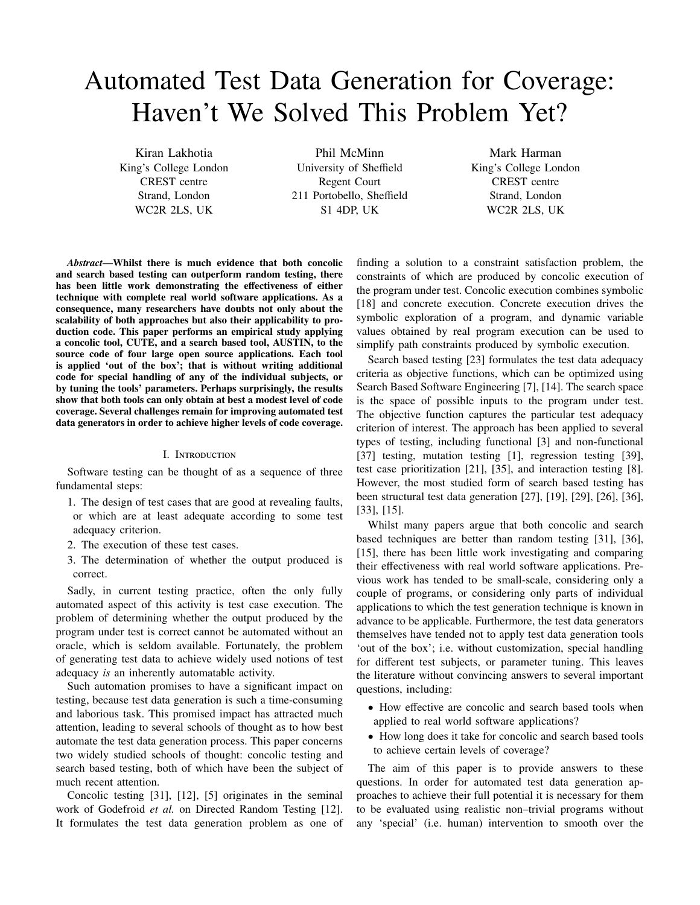# Automated Test Data Generation for Coverage: Haven't We Solved This Problem Yet?

Kiran Lakhotia King's College London CREST centre Strand, London WC2R 2LS, UK

Phil McMinn University of Sheffield Regent Court 211 Portobello, Sheffield S1 4DP, UK

Mark Harman King's College London CREST centre Strand, London WC2R 2LS, UK

*Abstract*—Whilst there is much evidence that both concolic and search based testing can outperform random testing, there has been little work demonstrating the effectiveness of either technique with complete real world software applications. As a consequence, many researchers have doubts not only about the scalability of both approaches but also their applicability to production code. This paper performs an empirical study applying a concolic tool, CUTE, and a search based tool, AUSTIN, to the source code of four large open source applications. Each tool is applied 'out of the box'; that is without writing additional code for special handling of any of the individual subjects, or by tuning the tools' parameters. Perhaps surprisingly, the results show that both tools can only obtain at best a modest level of code coverage. Several challenges remain for improving automated test data generators in order to achieve higher levels of code coverage.

#### I. INTRODUCTION

Software testing can be thought of as a sequence of three fundamental steps:

- 1. The design of test cases that are good at revealing faults, or which are at least adequate according to some test adequacy criterion.
- 2. The execution of these test cases.
- 3. The determination of whether the output produced is correct.

Sadly, in current testing practice, often the only fully automated aspect of this activity is test case execution. The problem of determining whether the output produced by the program under test is correct cannot be automated without an oracle, which is seldom available. Fortunately, the problem of generating test data to achieve widely used notions of test adequacy *is* an inherently automatable activity.

Such automation promises to have a significant impact on testing, because test data generation is such a time-consuming and laborious task. This promised impact has attracted much attention, leading to several schools of thought as to how best automate the test data generation process. This paper concerns two widely studied schools of thought: concolic testing and search based testing, both of which have been the subject of much recent attention.

Concolic testing [31], [12], [5] originates in the seminal work of Godefroid *et al.* on Directed Random Testing [12]. It formulates the test data generation problem as one of finding a solution to a constraint satisfaction problem, the constraints of which are produced by concolic execution of the program under test. Concolic execution combines symbolic [18] and concrete execution. Concrete execution drives the symbolic exploration of a program, and dynamic variable values obtained by real program execution can be used to simplify path constraints produced by symbolic execution.

Search based testing [23] formulates the test data adequacy criteria as objective functions, which can be optimized using Search Based Software Engineering [7], [14]. The search space is the space of possible inputs to the program under test. The objective function captures the particular test adequacy criterion of interest. The approach has been applied to several types of testing, including functional [3] and non-functional [37] testing, mutation testing [1], regression testing [39], test case prioritization [21], [35], and interaction testing [8]. However, the most studied form of search based testing has been structural test data generation [27], [19], [29], [26], [36], [33], [15].

Whilst many papers argue that both concolic and search based techniques are better than random testing [31], [36], [15], there has been little work investigating and comparing their effectiveness with real world software applications. Previous work has tended to be small-scale, considering only a couple of programs, or considering only parts of individual applications to which the test generation technique is known in advance to be applicable. Furthermore, the test data generators themselves have tended not to apply test data generation tools 'out of the box'; i.e. without customization, special handling for different test subjects, or parameter tuning. This leaves the literature without convincing answers to several important questions, including:

- How effective are concolic and search based tools when applied to real world software applications?
- How long does it take for concolic and search based tools to achieve certain levels of coverage?

The aim of this paper is to provide answers to these questions. In order for automated test data generation approaches to achieve their full potential it is necessary for them to be evaluated using realistic non–trivial programs without any 'special' (i.e. human) intervention to smooth over the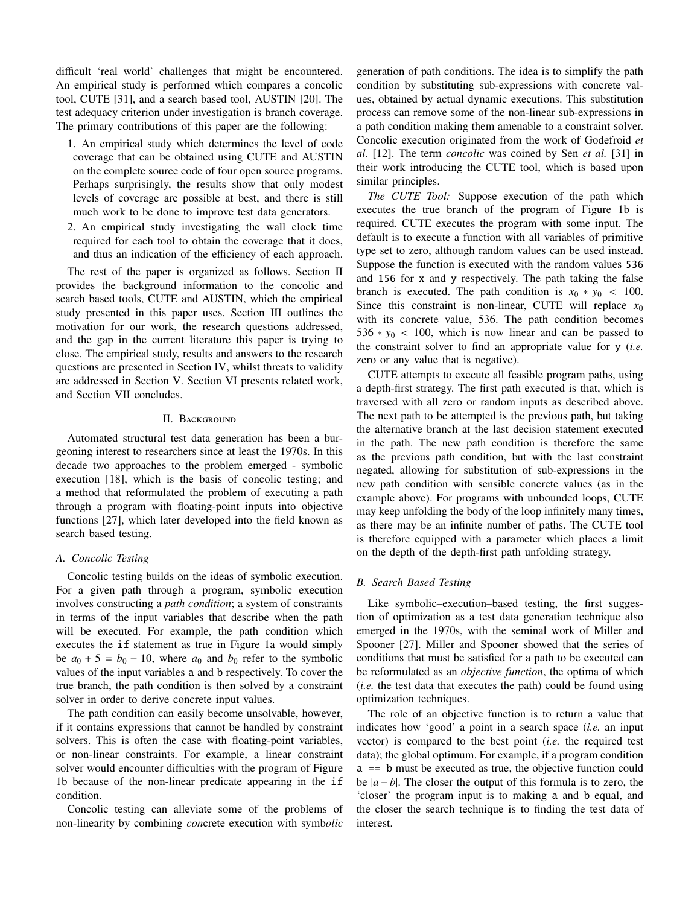difficult 'real world' challenges that might be encountered. An empirical study is performed which compares a concolic tool, CUTE [31], and a search based tool, AUSTIN [20]. The test adequacy criterion under investigation is branch coverage. The primary contributions of this paper are the following:

- 1. An empirical study which determines the level of code coverage that can be obtained using CUTE and AUSTIN on the complete source code of four open source programs. Perhaps surprisingly, the results show that only modest levels of coverage are possible at best, and there is still much work to be done to improve test data generators.
- 2. An empirical study investigating the wall clock time required for each tool to obtain the coverage that it does, and thus an indication of the efficiency of each approach.

The rest of the paper is organized as follows. Section II provides the background information to the concolic and search based tools, CUTE and AUSTIN, which the empirical study presented in this paper uses. Section III outlines the motivation for our work, the research questions addressed, and the gap in the current literature this paper is trying to close. The empirical study, results and answers to the research questions are presented in Section IV, whilst threats to validity are addressed in Section V. Section VI presents related work, and Section VII concludes.

## **II. BACKGROUND**

Automated structural test data generation has been a burgeoning interest to researchers since at least the 1970s. In this decade two approaches to the problem emerged - symbolic execution [18], which is the basis of concolic testing; and a method that reformulated the problem of executing a path through a program with floating-point inputs into objective functions [27], which later developed into the field known as search based testing.

### *A. Concolic Testing*

Concolic testing builds on the ideas of symbolic execution. For a given path through a program, symbolic execution involves constructing a *path condition*; a system of constraints in terms of the input variables that describe when the path will be executed. For example, the path condition which executes the if statement as true in Figure 1a would simply be  $a_0 + 5 = b_0 - 10$ , where  $a_0$  and  $b_0$  refer to the symbolic values of the input variables a and b respectively. To cover the true branch, the path condition is then solved by a constraint solver in order to derive concrete input values.

The path condition can easily become unsolvable, however, if it contains expressions that cannot be handled by constraint solvers. This is often the case with floating-point variables, or non-linear constraints. For example, a linear constraint solver would encounter difficulties with the program of Figure 1b because of the non-linear predicate appearing in the if condition.

Concolic testing can alleviate some of the problems of non-linearity by combining *con*crete execution with symb*olic* generation of path conditions. The idea is to simplify the path condition by substituting sub-expressions with concrete values, obtained by actual dynamic executions. This substitution process can remove some of the non-linear sub-expressions in a path condition making them amenable to a constraint solver. Concolic execution originated from the work of Godefroid *et al.* [12]. The term *concolic* was coined by Sen *et al.* [31] in their work introducing the CUTE tool, which is based upon similar principles.

*The CUTE Tool:* Suppose execution of the path which executes the true branch of the program of Figure 1b is required. CUTE executes the program with some input. The default is to execute a function with all variables of primitive type set to zero, although random values can be used instead. Suppose the function is executed with the random values 536 and 156 for x and y respectively. The path taking the false branch is executed. The path condition is  $x_0 * y_0 < 100$ . Since this constraint is non-linear, CUTE will replace  $x_0$ with its concrete value, 536. The path condition becomes  $536 * y_0 < 100$ , which is now linear and can be passed to the constraint solver to find an appropriate value for y (*i.e.* zero or any value that is negative).

CUTE attempts to execute all feasible program paths, using a depth-first strategy. The first path executed is that, which is traversed with all zero or random inputs as described above. The next path to be attempted is the previous path, but taking the alternative branch at the last decision statement executed in the path. The new path condition is therefore the same as the previous path condition, but with the last constraint negated, allowing for substitution of sub-expressions in the new path condition with sensible concrete values (as in the example above). For programs with unbounded loops, CUTE may keep unfolding the body of the loop infinitely many times, as there may be an infinite number of paths. The CUTE tool is therefore equipped with a parameter which places a limit on the depth of the depth-first path unfolding strategy.

## *B. Search Based Testing*

Like symbolic–execution–based testing, the first suggestion of optimization as a test data generation technique also emerged in the 1970s, with the seminal work of Miller and Spooner [27]. Miller and Spooner showed that the series of conditions that must be satisfied for a path to be executed can be reformulated as an *objective function*, the optima of which (*i.e.* the test data that executes the path) could be found using optimization techniques.

The role of an objective function is to return a value that indicates how 'good' a point in a search space (*i.e.* an input vector) is compared to the best point (*i.e.* the required test data); the global optimum. For example, if a program condition  $a = b$  must be executed as true, the objective function could be  $|a - b|$ . The closer the output of this formula is to zero, the 'closer' the program input is to making a and b equal, and the closer the search technique is to finding the test data of interest.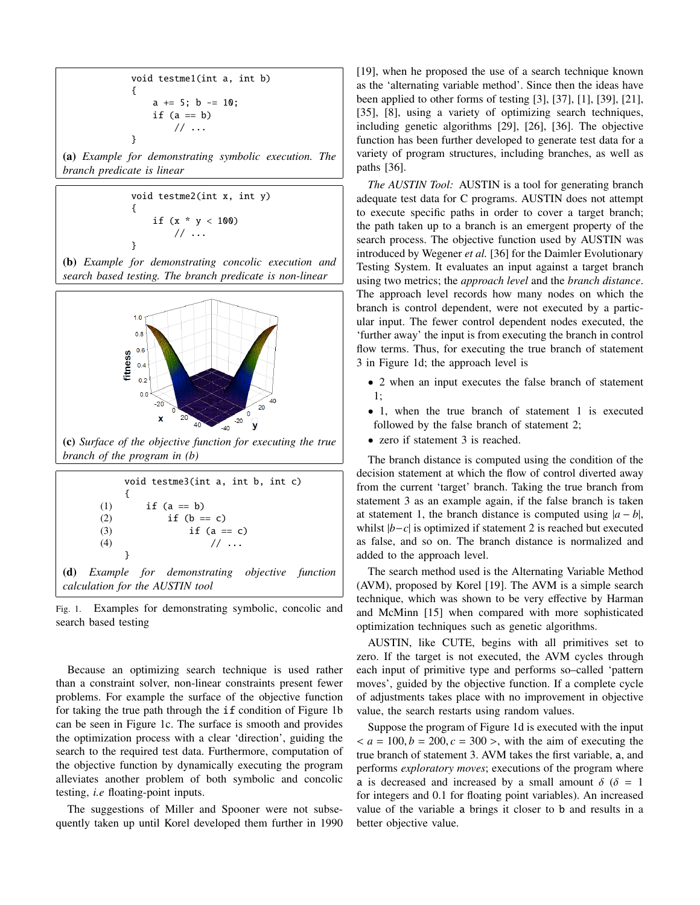void testme1(int a, int b) { a += 5; b -= 10; if (a == b) // ... }

(a) *Example for demonstrating symbolic execution. The branch predicate is linear*

void testme2(int x, int y) { if (x \* y < 100) // ... }

(b) *Example for demonstrating concolic execution and search based testing. The branch predicate is non-linear*



|                      | void testme3(int a, int b, int c)                |  |  |  |  |
|----------------------|--------------------------------------------------|--|--|--|--|
|                      |                                                  |  |  |  |  |
| (1)                  | if $(a == b)$                                    |  |  |  |  |
| (2)                  | if $(b == c)$                                    |  |  |  |  |
| if $(a == c)$<br>(3) |                                                  |  |  |  |  |
| $\frac{1}{2}$<br>(4) |                                                  |  |  |  |  |
|                      |                                                  |  |  |  |  |
|                      | (d) Example for demonstrating objective function |  |  |  |  |
|                      | calculation for the AUSTIN tool                  |  |  |  |  |

Fig. 1. Examples for demonstrating symbolic, concolic and search based testing

Because an optimizing search technique is used rather than a constraint solver, non-linear constraints present fewer problems. For example the surface of the objective function for taking the true path through the if condition of Figure 1b can be seen in Figure 1c. The surface is smooth and provides the optimization process with a clear 'direction', guiding the search to the required test data. Furthermore, computation of the objective function by dynamically executing the program alleviates another problem of both symbolic and concolic testing, *i.e* floating-point inputs.

The suggestions of Miller and Spooner were not subsequently taken up until Korel developed them further in 1990 [19], when he proposed the use of a search technique known as the 'alternating variable method'. Since then the ideas have been applied to other forms of testing [3], [37], [1], [39], [21], [35], [8], using a variety of optimizing search techniques, including genetic algorithms [29], [26], [36]. The objective function has been further developed to generate test data for a variety of program structures, including branches, as well as paths [36].

*The AUSTIN Tool:* AUSTIN is a tool for generating branch adequate test data for C programs. AUSTIN does not attempt to execute specific paths in order to cover a target branch; the path taken up to a branch is an emergent property of the search process. The objective function used by AUSTIN was introduced by Wegener *et al.* [36] for the Daimler Evolutionary Testing System. It evaluates an input against a target branch using two metrics; the *approach level* and the *branch distance*. The approach level records how many nodes on which the branch is control dependent, were not executed by a particular input. The fewer control dependent nodes executed, the 'further away' the input is from executing the branch in control flow terms. Thus, for executing the true branch of statement 3 in Figure 1d; the approach level is

- 2 when an input executes the false branch of statement 1;
- 1, when the true branch of statement 1 is executed followed by the false branch of statement 2;
- zero if statement 3 is reached.

The branch distance is computed using the condition of the decision statement at which the flow of control diverted away from the current 'target' branch. Taking the true branch from statement 3 as an example again, if the false branch is taken at statement 1, the branch distance is computed using  $|a - b|$ , whilst |*b*−*c*| is optimized if statement 2 is reached but executed as false, and so on. The branch distance is normalized and added to the approach level.

The search method used is the Alternating Variable Method (AVM), proposed by Korel [19]. The AVM is a simple search technique, which was shown to be very effective by Harman and McMinn [15] when compared with more sophisticated optimization techniques such as genetic algorithms.

AUSTIN, like CUTE, begins with all primitives set to zero. If the target is not executed, the AVM cycles through each input of primitive type and performs so–called 'pattern moves', guided by the objective function. If a complete cycle of adjustments takes place with no improvement in objective value, the search restarts using random values.

Suppose the program of Figure 1d is executed with the input  $a = 100, b = 200, c = 300$ , with the aim of executing the true branch of statement 3. AVM takes the first variable, a, and performs *exploratory moves*; executions of the program where a is decreased and increased by a small amount  $\delta$  ( $\delta = 1$ ) for integers and 0.1 for floating point variables). An increased value of the variable a brings it closer to b and results in a better objective value.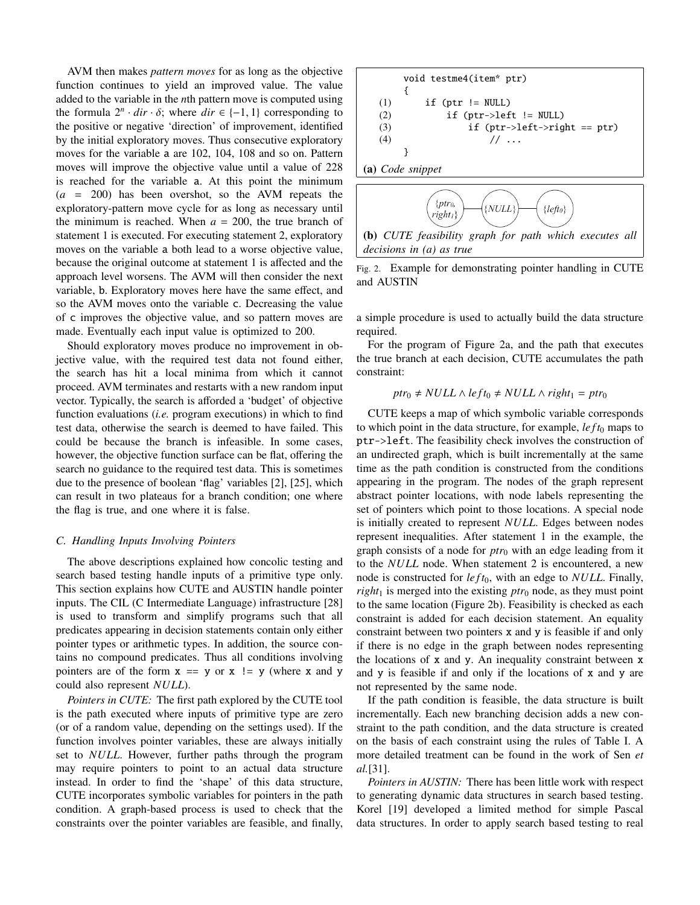AVM then makes *pattern moves* for as long as the objective function continues to yield an improved value. The value added to the variable in the *n*th pattern move is computed using the formula  $2^n \cdot dir \cdot \delta$ ; where  $dir \in \{-1, 1\}$  corresponding to the positive or negative 'direction' of improvement, identified by the initial exploratory moves. Thus consecutive exploratory moves for the variable a are 102, 104, 108 and so on. Pattern moves will improve the objective value until a value of 228 is reached for the variable a. At this point the minimum (*a* = 200) has been overshot, so the AVM repeats the exploratory-pattern move cycle for as long as necessary until the minimum is reached. When  $a = 200$ , the true branch of statement 1 is executed. For executing statement 2, exploratory moves on the variable a both lead to a worse objective value, because the original outcome at statement 1 is affected and the approach level worsens. The AVM will then consider the next variable, b. Exploratory moves here have the same effect, and so the AVM moves onto the variable c. Decreasing the value of c improves the objective value, and so pattern moves are made. Eventually each input value is optimized to 200.

Should exploratory moves produce no improvement in objective value, with the required test data not found either, the search has hit a local minima from which it cannot proceed. AVM terminates and restarts with a new random input vector. Typically, the search is afforded a 'budget' of objective function evaluations (*i.e.* program executions) in which to find test data, otherwise the search is deemed to have failed. This could be because the branch is infeasible. In some cases, however, the objective function surface can be flat, offering the search no guidance to the required test data. This is sometimes due to the presence of boolean 'flag' variables [2], [25], which can result in two plateaus for a branch condition; one where the flag is true, and one where it is false.

### *C. Handling Inputs Involving Pointers*

The above descriptions explained how concolic testing and search based testing handle inputs of a primitive type only. This section explains how CUTE and AUSTIN handle pointer inputs. The CIL (C Intermediate Language) infrastructure [28] is used to transform and simplify programs such that all predicates appearing in decision statements contain only either pointer types or arithmetic types. In addition, the source contains no compound predicates. Thus all conditions involving pointers are of the form  $x = y$  or  $x := y$  (where x and y could also represent *NULL*).

*Pointers in CUTE:* The first path explored by the CUTE tool is the path executed where inputs of primitive type are zero (or of a random value, depending on the settings used). If the function involves pointer variables, these are always initially set to *NULL*. However, further paths through the program may require pointers to point to an actual data structure instead. In order to find the 'shape' of this data structure, CUTE incorporates symbolic variables for pointers in the path condition. A graph-based process is used to check that the constraints over the pointer variables are feasible, and finally,





Fig. 2. Example for demonstrating pointer handling in CUTE and AUSTIN

a simple procedure is used to actually build the data structure required.

For the program of Figure 2a, and the path that executes the true branch at each decision, CUTE accumulates the path constraint:

$$
ptr_0 \neq NULL \land left_0 \neq NULL \land right_1 =ptr_0
$$

CUTE keeps a map of which symbolic variable corresponds to which point in the data structure, for example, *left*<sup>0</sup> maps to ptr->left. The feasibility check involves the construction of an undirected graph, which is built incrementally at the same time as the path condition is constructed from the conditions appearing in the program. The nodes of the graph represent abstract pointer locations, with node labels representing the set of pointers which point to those locations. A special node is initially created to represent *NULL*. Edges between nodes represent inequalities. After statement 1 in the example, the graph consists of a node for  $ptr_0$  with an edge leading from it to the *NULL* node. When statement 2 is encountered, a new node is constructed for *left*<sub>0</sub>, with an edge to *NULL*. Finally,  $right<sub>1</sub>$  is merged into the existing  $ptr_0$  node, as they must point to the same location (Figure 2b). Feasibility is checked as each constraint is added for each decision statement. An equality constraint between two pointers x and y is feasible if and only if there is no edge in the graph between nodes representing the locations of x and y. An inequality constraint between x and y is feasible if and only if the locations of x and y are not represented by the same node.

If the path condition is feasible, the data structure is built incrementally. Each new branching decision adds a new constraint to the path condition, and the data structure is created on the basis of each constraint using the rules of Table I. A more detailed treatment can be found in the work of Sen *et al.*[31].

*Pointers in AUSTIN:* There has been little work with respect to generating dynamic data structures in search based testing. Korel [19] developed a limited method for simple Pascal data structures. In order to apply search based testing to real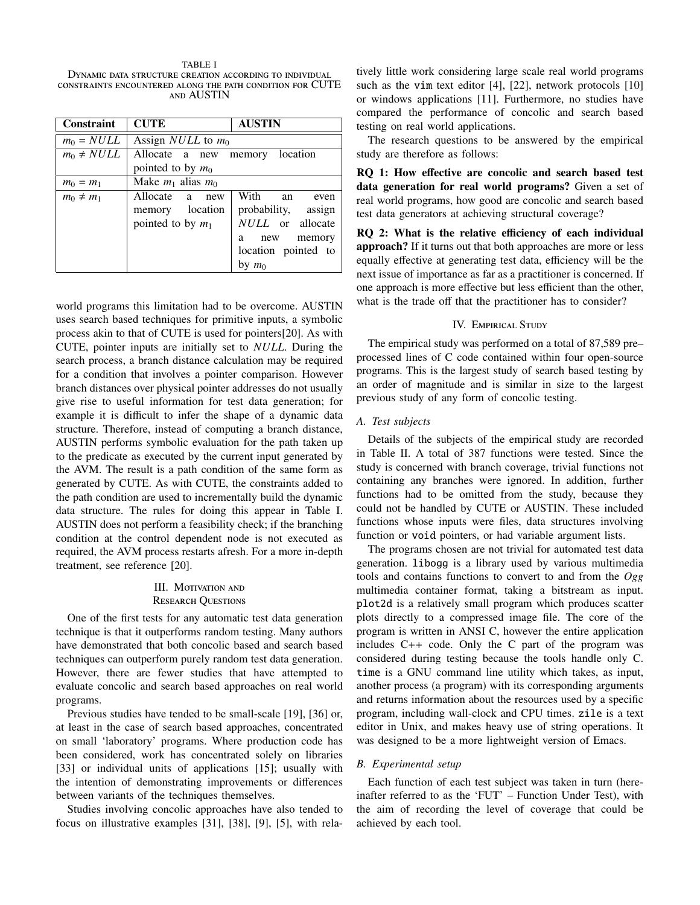TABLE I DYNAMIC DATA STRUCTURE CREATION ACCORDING TO INDIVIDUAL CONSTRAINTS ENCOUNTERED ALONG THE PATH CONDITION FOR CUTE AND AUSTIN

| <b>Constraint</b> | <b>CUTE</b>                       | <b>AUSTIN</b>           |  |  |  |  |  |
|-------------------|-----------------------------------|-------------------------|--|--|--|--|--|
| $m_0 = NULL$      | Assign <i>NULL</i> to $m_0$       |                         |  |  |  |  |  |
| $m_0 \neq NULL$   | Allocate a new memory<br>location |                         |  |  |  |  |  |
|                   | pointed to by $m_0$               |                         |  |  |  |  |  |
| $m_0 = m_1$       | Make $m_1$ alias $m_0$            |                         |  |  |  |  |  |
| $m_0 \neq m_1$    | Allocate a<br>new                 | With<br>an<br>even      |  |  |  |  |  |
|                   | memory location                   | probability, assign     |  |  |  |  |  |
|                   | pointed to by $m_1$               | <i>NULL</i> or allocate |  |  |  |  |  |
|                   |                                   | a new<br>memory         |  |  |  |  |  |
|                   | location pointed to               |                         |  |  |  |  |  |
|                   |                                   | by $m_0$                |  |  |  |  |  |

world programs this limitation had to be overcome. AUSTIN uses search based techniques for primitive inputs, a symbolic process akin to that of CUTE is used for pointers[20]. As with CUTE, pointer inputs are initially set to *NULL*. During the search process, a branch distance calculation may be required for a condition that involves a pointer comparison. However branch distances over physical pointer addresses do not usually give rise to useful information for test data generation; for example it is difficult to infer the shape of a dynamic data structure. Therefore, instead of computing a branch distance, AUSTIN performs symbolic evaluation for the path taken up to the predicate as executed by the current input generated by the AVM. The result is a path condition of the same form as generated by CUTE. As with CUTE, the constraints added to the path condition are used to incrementally build the dynamic data structure. The rules for doing this appear in Table I. AUSTIN does not perform a feasibility check; if the branching condition at the control dependent node is not executed as required, the AVM process restarts afresh. For a more in-depth treatment, see reference [20].

# III. MOTIVATION AND **RESEARCH OUESTIONS**

One of the first tests for any automatic test data generation technique is that it outperforms random testing. Many authors have demonstrated that both concolic based and search based techniques can outperform purely random test data generation. However, there are fewer studies that have attempted to evaluate concolic and search based approaches on real world programs.

Previous studies have tended to be small-scale [19], [36] or, at least in the case of search based approaches, concentrated on small 'laboratory' programs. Where production code has been considered, work has concentrated solely on libraries [33] or individual units of applications [15]; usually with the intention of demonstrating improvements or differences between variants of the techniques themselves.

Studies involving concolic approaches have also tended to focus on illustrative examples [31], [38], [9], [5], with relatively little work considering large scale real world programs such as the vim text editor [4], [22], network protocols [10] or windows applications [11]. Furthermore, no studies have compared the performance of concolic and search based testing on real world applications.

The research questions to be answered by the empirical study are therefore as follows:

RQ 1: How effective are concolic and search based test data generation for real world programs? Given a set of real world programs, how good are concolic and search based test data generators at achieving structural coverage?

RQ 2: What is the relative efficiency of each individual approach? If it turns out that both approaches are more or less equally effective at generating test data, efficiency will be the next issue of importance as far as a practitioner is concerned. If one approach is more effective but less efficient than the other, what is the trade off that the practitioner has to consider?

### **IV. EMPIRICAL STUDY**

The empirical study was performed on a total of 87,589 pre– processed lines of C code contained within four open-source programs. This is the largest study of search based testing by an order of magnitude and is similar in size to the largest previous study of any form of concolic testing.

## *A. Test subjects*

Details of the subjects of the empirical study are recorded in Table II. A total of 387 functions were tested. Since the study is concerned with branch coverage, trivial functions not containing any branches were ignored. In addition, further functions had to be omitted from the study, because they could not be handled by CUTE or AUSTIN. These included functions whose inputs were files, data structures involving function or void pointers, or had variable argument lists.

The programs chosen are not trivial for automated test data generation. libogg is a library used by various multimedia tools and contains functions to convert to and from the *Ogg* multimedia container format, taking a bitstream as input. plot2d is a relatively small program which produces scatter plots directly to a compressed image file. The core of the program is written in ANSI C, however the entire application includes C++ code. Only the C part of the program was considered during testing because the tools handle only C. time is a GNU command line utility which takes, as input, another process (a program) with its corresponding arguments and returns information about the resources used by a specific program, including wall-clock and CPU times. zile is a text editor in Unix, and makes heavy use of string operations. It was designed to be a more lightweight version of Emacs.

### *B. Experimental setup*

Each function of each test subject was taken in turn (hereinafter referred to as the 'FUT' – Function Under Test), with the aim of recording the level of coverage that could be achieved by each tool.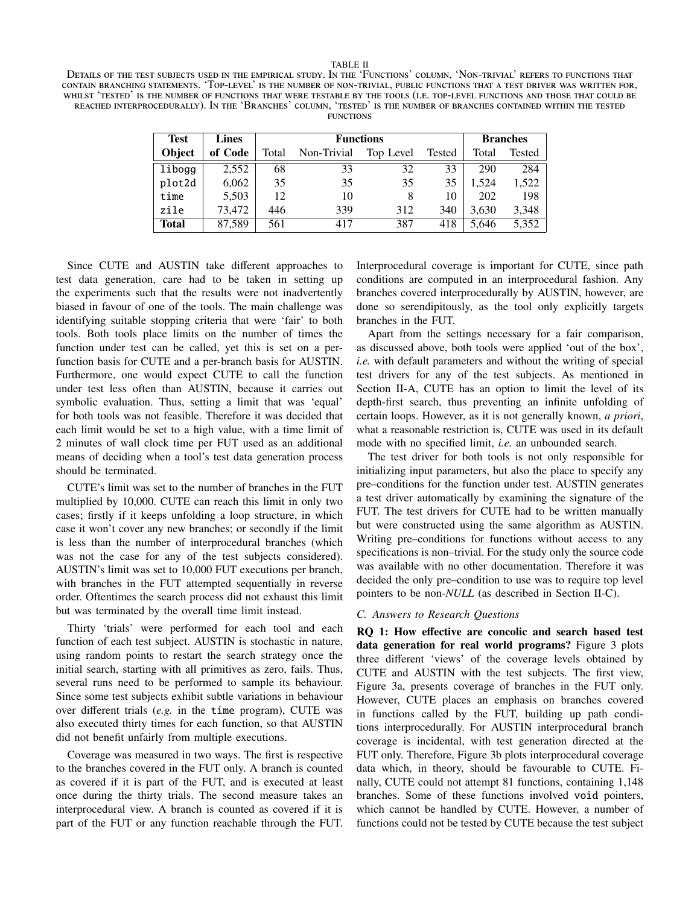#### TABLE II

DETAILS OF THE TEST SUBJECTS USED IN THE EMPIRICAL STUDY. IN THE 'FUNCTIONS' COLUMN, 'NON-TRIVIAL' REFERS TO FUNCTIONS THAT CONTAIN BRANCHING STATEMENTS. 'TOP-LEVEL' IS THE NUMBER OF NON-TRIVIAL, PUBLIC FUNCTIONS THAT A TEST DRIVER WAS WRITTEN FOR, WHILST 'TESTED' IS THE NUMBER OF FUNCTIONS THAT WERE TESTABLE BY THE TOOLS (I.E. TOP-LEVEL FUNCTI REACHED INTERPROCEDURALLY). IN THE 'BRANCHES' COLUMN, 'TESTED' IS THE NUMBER OF BRANCHES CONTAINED WITHIN THE TESTED **FUNCTIONS** 

| <b>Test</b>   | <b>Lines</b> |       | <b>Functions</b> | <b>Branches</b> |               |       |               |
|---------------|--------------|-------|------------------|-----------------|---------------|-------|---------------|
| <b>Object</b> | of Code      | Total | Non-Trivial      | Top Level       | <b>Tested</b> | Total | <b>Tested</b> |
| libogg        | 2,552        | 68    | 33               | 32              | 33            | 290   | 284           |
| plot2d        | 6,062        | 35    | 35               | 35              | 35            | 1.524 | 1,522         |
| time          | 5,503        | 12    | 10               | 8               | 10            | 202   | 198           |
| zile          | 73,472       | 446   | 339              | 312             | 340           | 3.630 | 3,348         |
| <b>Total</b>  | 87,589       | 561   | 417              | 387             | 418           | 5.646 | 5,352         |

Since CUTE and AUSTIN take different approaches to test data generation, care had to be taken in setting up the experiments such that the results were not inadvertently biased in favour of one of the tools. The main challenge was identifying suitable stopping criteria that were 'fair' to both tools. Both tools place limits on the number of times the function under test can be called, yet this is set on a perfunction basis for CUTE and a per-branch basis for AUSTIN. Furthermore, one would expect CUTE to call the function under test less often than AUSTIN, because it carries out symbolic evaluation. Thus, setting a limit that was 'equal' for both tools was not feasible. Therefore it was decided that each limit would be set to a high value, with a time limit of 2 minutes of wall clock time per FUT used as an additional means of deciding when a tool's test data generation process should be terminated.

CUTE's limit was set to the number of branches in the FUT multiplied by 10,000. CUTE can reach this limit in only two cases; firstly if it keeps unfolding a loop structure, in which case it won't cover any new branches; or secondly if the limit is less than the number of interprocedural branches (which was not the case for any of the test subjects considered). AUSTIN's limit was set to 10,000 FUT executions per branch, with branches in the FUT attempted sequentially in reverse order. Oftentimes the search process did not exhaust this limit but was terminated by the overall time limit instead.

Thirty 'trials' were performed for each tool and each function of each test subject. AUSTIN is stochastic in nature, using random points to restart the search strategy once the initial search, starting with all primitives as zero, fails. Thus, several runs need to be performed to sample its behaviour. Since some test subjects exhibit subtle variations in behaviour over different trials (*e.g.* in the time program), CUTE was also executed thirty times for each function, so that AUSTIN did not benefit unfairly from multiple executions.

Coverage was measured in two ways. The first is respective to the branches covered in the FUT only. A branch is counted as covered if it is part of the FUT, and is executed at least once during the thirty trials. The second measure takes an interprocedural view. A branch is counted as covered if it is part of the FUT or any function reachable through the FUT.

Interprocedural coverage is important for CUTE, since path conditions are computed in an interprocedural fashion. Any branches covered interprocedurally by AUSTIN, however, are done so serendipitously, as the tool only explicitly targets branches in the FUT.

Apart from the settings necessary for a fair comparison, as discussed above, both tools were applied 'out of the box', *i.e.* with default parameters and without the writing of special test drivers for any of the test subjects. As mentioned in Section II-A, CUTE has an option to limit the level of its depth-first search, thus preventing an infinite unfolding of certain loops. However, as it is not generally known, *a priori*, what a reasonable restriction is, CUTE was used in its default mode with no specified limit, *i.e.* an unbounded search.

The test driver for both tools is not only responsible for initializing input parameters, but also the place to specify any pre–conditions for the function under test. AUSTIN generates a test driver automatically by examining the signature of the FUT. The test drivers for CUTE had to be written manually but were constructed using the same algorithm as AUSTIN. Writing pre–conditions for functions without access to any specifications is non–trivial. For the study only the source code was available with no other documentation. Therefore it was decided the only pre–condition to use was to require top level pointers to be non-*NULL* (as described in Section II-C).

#### *C. Answers to Research Questions*

RQ 1: How effective are concolic and search based test data generation for real world programs? Figure 3 plots three different 'views' of the coverage levels obtained by CUTE and AUSTIN with the test subjects. The first view, Figure 3a, presents coverage of branches in the FUT only. However, CUTE places an emphasis on branches covered in functions called by the FUT, building up path conditions interprocedurally. For AUSTIN interprocedural branch coverage is incidental, with test generation directed at the FUT only. Therefore, Figure 3b plots interprocedural coverage data which, in theory, should be favourable to CUTE. Finally, CUTE could not attempt 81 functions, containing 1,148 branches. Some of these functions involved void pointers, which cannot be handled by CUTE. However, a number of functions could not be tested by CUTE because the test subject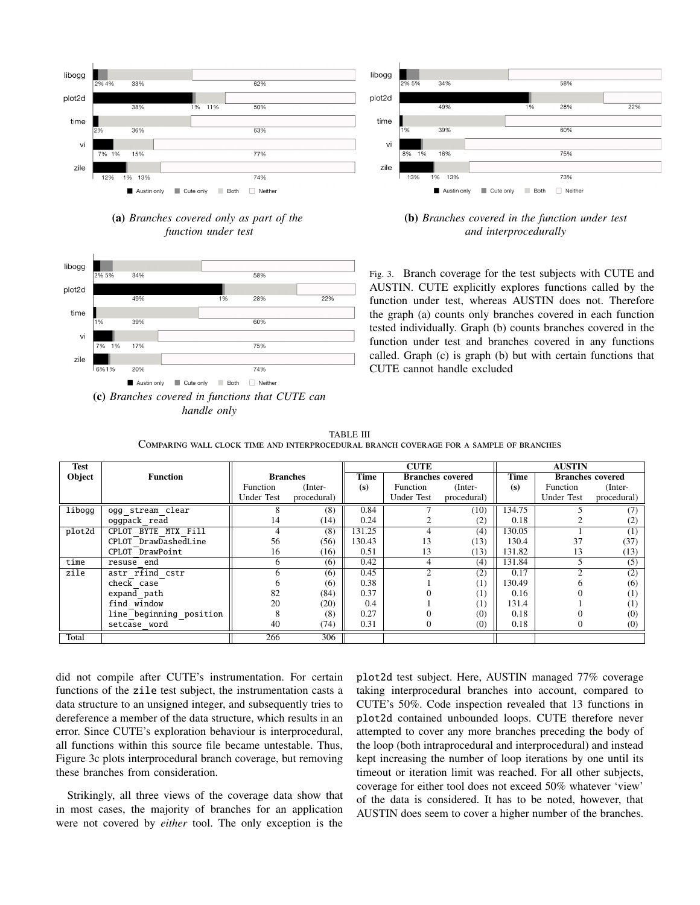



*handle only*



(a) *Branches covered only as part of the* (b) *Branches covered in the function under test function under test* and *interprocedurally* 

Fig. 3. Branch coverage for the test subjects with CUTE and AUSTIN. CUTE explicitly explores functions called by the function under test, whereas AUSTIN does not. Therefore the graph (a) counts only branches covered in each function tested individually. Graph (b) counts branches covered in the function under test and branches covered in any functions called. Graph (c) is graph (b) but with certain functions that CUTE cannot handle excluded

| TABLE III                                                                              |  |
|----------------------------------------------------------------------------------------|--|
| Comparing wall clock time and interprocedural branch coverage for a sample of branches |  |

| <b>Test</b> |                         |                 | <b>CUTE</b> |                                 |            | <b>AUSTIN</b>       |                                 |            |             |
|-------------|-------------------------|-----------------|-------------|---------------------------------|------------|---------------------|---------------------------------|------------|-------------|
| Object      | <b>Function</b>         | <b>Branches</b> |             | <b>Branches covered</b><br>Time |            |                     | Time<br><b>Branches covered</b> |            |             |
|             |                         | Function        | (Inter-     | (s)                             | Function   | (Inter-             | (s)                             | Function   | (Inter-     |
|             |                         | Under Test      | procedural) |                                 | Under Test | procedural)         |                                 | Under Test | procedural) |
| libogg      | ogg stream clear        |                 | (8)         | 0.84                            |            | (10)                | 134.75                          |            |             |
|             | oggpack read            | 14              | (14)        | 0.24                            |            | (2)                 | 0.18                            |            |             |
| plot2d      | CPLOT BYTE MTX Fill     |                 | (8)         | 131.25                          |            | (4)                 | 130.05                          |            |             |
|             | CPLOT DrawDashedLine    | 56              | (56)        | 130.43                          | 13         | (13)                | 130.4                           | 37         | (37)        |
|             | CPLOT DrawPoint         | 16              | (16)        | 0.51                            | 13         | (13)                | 131.82                          | 13         | (13)        |
| time        | resuse end              | 6               | (6)         | 0.42                            |            | (4)                 | 131.84                          |            | (5)         |
| zile        | astr rfind cstr         |                 | (6)         | 0.45                            |            | (2)                 | 0.17                            |            | (2)         |
|             | check case              |                 | (6)         | 0.38                            |            | $\scriptstyle{(1)}$ | 130.49                          |            | (6)         |
|             | expand path             | 82              | (84)        | 0.37                            |            | $^{(1)}$            | 0.16                            |            |             |
|             | find window             | 20              | (20)        | 0.4                             |            | $^{(1)}$            | 131.4                           |            |             |
|             | line beginning position |                 | (8)         | 0.27                            |            | (0)                 | 0.18                            |            | (O`         |
|             | setcase word            | 40              | (74)        | 0.31                            |            | (0)                 | 0.18                            |            | (0)         |
| Total       |                         | 266             | 306         |                                 |            |                     |                                 |            |             |

did not compile after CUTE's instrumentation. For certain functions of the zile test subject, the instrumentation casts a data structure to an unsigned integer, and subsequently tries to dereference a member of the data structure, which results in an error. Since CUTE's exploration behaviour is interprocedural, all functions within this source file became untestable. Thus, Figure 3c plots interprocedural branch coverage, but removing these branches from consideration.

Strikingly, all three views of the coverage data show that in most cases, the majority of branches for an application were not covered by *either* tool. The only exception is the plot2d test subject. Here, AUSTIN managed 77% coverage taking interprocedural branches into account, compared to CUTE's 50%. Code inspection revealed that 13 functions in plot2d contained unbounded loops. CUTE therefore never attempted to cover any more branches preceding the body of the loop (both intraprocedural and interprocedural) and instead kept increasing the number of loop iterations by one until its timeout or iteration limit was reached. For all other subjects, coverage for either tool does not exceed 50% whatever 'view' of the data is considered. It has to be noted, however, that AUSTIN does seem to cover a higher number of the branches.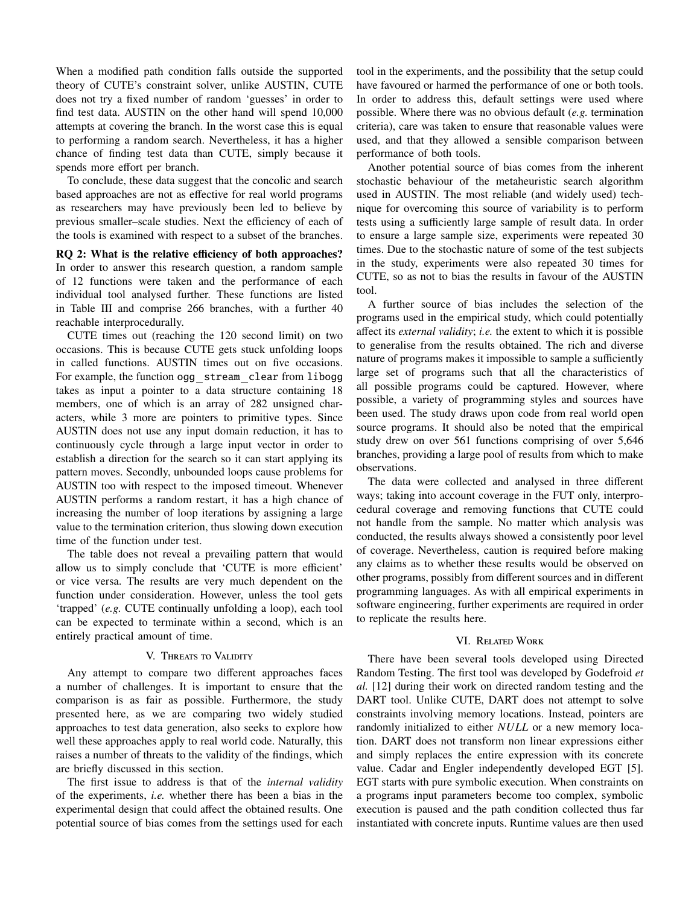When a modified path condition falls outside the supported theory of CUTE's constraint solver, unlike AUSTIN, CUTE does not try a fixed number of random 'guesses' in order to find test data. AUSTIN on the other hand will spend 10,000 attempts at covering the branch. In the worst case this is equal to performing a random search. Nevertheless, it has a higher chance of finding test data than CUTE, simply because it spends more effort per branch.

To conclude, these data suggest that the concolic and search based approaches are not as effective for real world programs as researchers may have previously been led to believe by previous smaller–scale studies. Next the efficiency of each of the tools is examined with respect to a subset of the branches.

RQ 2: What is the relative efficiency of both approaches? In order to answer this research question, a random sample of 12 functions were taken and the performance of each individual tool analysed further. These functions are listed in Table III and comprise 266 branches, with a further 40 reachable interprocedurally.

CUTE times out (reaching the 120 second limit) on two occasions. This is because CUTE gets stuck unfolding loops in called functions. AUSTIN times out on five occasions. For example, the function ogg stream clear from libogg takes as input a pointer to a data structure containing 18 members, one of which is an array of 282 unsigned characters, while 3 more are pointers to primitive types. Since AUSTIN does not use any input domain reduction, it has to continuously cycle through a large input vector in order to establish a direction for the search so it can start applying its pattern moves. Secondly, unbounded loops cause problems for AUSTIN too with respect to the imposed timeout. Whenever AUSTIN performs a random restart, it has a high chance of increasing the number of loop iterations by assigning a large value to the termination criterion, thus slowing down execution time of the function under test.

The table does not reveal a prevailing pattern that would allow us to simply conclude that 'CUTE is more efficient' or vice versa. The results are very much dependent on the function under consideration. However, unless the tool gets 'trapped' (*e.g.* CUTE continually unfolding a loop), each tool can be expected to terminate within a second, which is an entirely practical amount of time.

### V. THREATS TO VALIDITY

Any attempt to compare two different approaches faces a number of challenges. It is important to ensure that the comparison is as fair as possible. Furthermore, the study presented here, as we are comparing two widely studied approaches to test data generation, also seeks to explore how well these approaches apply to real world code. Naturally, this raises a number of threats to the validity of the findings, which are briefly discussed in this section.

The first issue to address is that of the *internal validity* of the experiments, *i.e.* whether there has been a bias in the experimental design that could affect the obtained results. One potential source of bias comes from the settings used for each tool in the experiments, and the possibility that the setup could have favoured or harmed the performance of one or both tools. In order to address this, default settings were used where possible. Where there was no obvious default (*e.g.* termination criteria), care was taken to ensure that reasonable values were used, and that they allowed a sensible comparison between performance of both tools.

Another potential source of bias comes from the inherent stochastic behaviour of the metaheuristic search algorithm used in AUSTIN. The most reliable (and widely used) technique for overcoming this source of variability is to perform tests using a sufficiently large sample of result data. In order to ensure a large sample size, experiments were repeated 30 times. Due to the stochastic nature of some of the test subjects in the study, experiments were also repeated 30 times for CUTE, so as not to bias the results in favour of the AUSTIN tool.

A further source of bias includes the selection of the programs used in the empirical study, which could potentially affect its *external validity*; *i.e.* the extent to which it is possible to generalise from the results obtained. The rich and diverse nature of programs makes it impossible to sample a sufficiently large set of programs such that all the characteristics of all possible programs could be captured. However, where possible, a variety of programming styles and sources have been used. The study draws upon code from real world open source programs. It should also be noted that the empirical study drew on over 561 functions comprising of over 5,646 branches, providing a large pool of results from which to make observations.

The data were collected and analysed in three different ways; taking into account coverage in the FUT only, interprocedural coverage and removing functions that CUTE could not handle from the sample. No matter which analysis was conducted, the results always showed a consistently poor level of coverage. Nevertheless, caution is required before making any claims as to whether these results would be observed on other programs, possibly from different sources and in different programming languages. As with all empirical experiments in software engineering, further experiments are required in order to replicate the results here.

# VI. RELATED WORK

There have been several tools developed using Directed Random Testing. The first tool was developed by Godefroid *et al.* [12] during their work on directed random testing and the DART tool. Unlike CUTE, DART does not attempt to solve constraints involving memory locations. Instead, pointers are randomly initialized to either *NULL* or a new memory location. DART does not transform non linear expressions either and simply replaces the entire expression with its concrete value. Cadar and Engler independently developed EGT [5]. EGT starts with pure symbolic execution. When constraints on a programs input parameters become too complex, symbolic execution is paused and the path condition collected thus far instantiated with concrete inputs. Runtime values are then used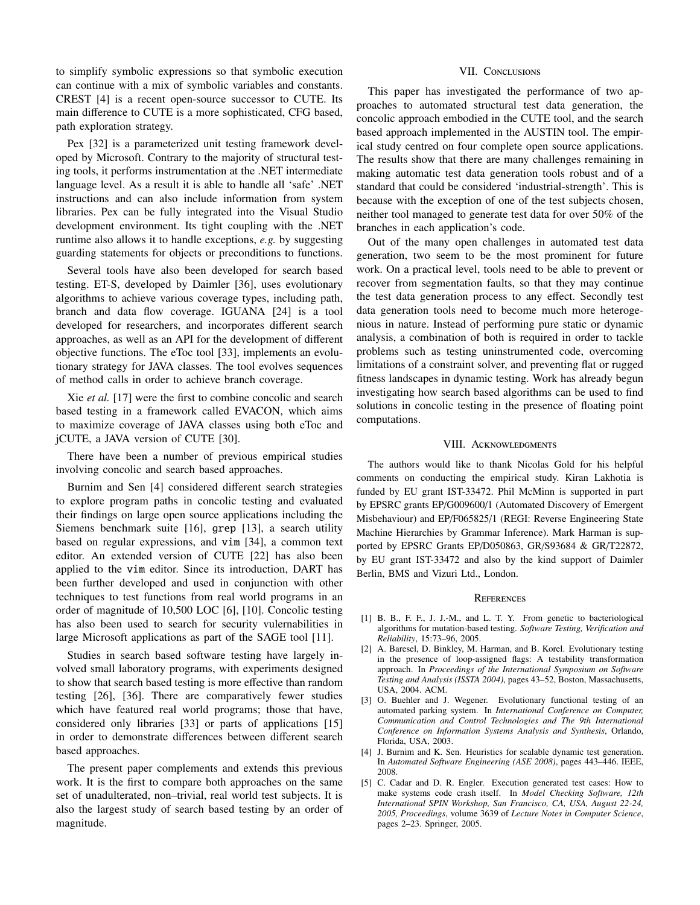to simplify symbolic expressions so that symbolic execution can continue with a mix of symbolic variables and constants. CREST [4] is a recent open-source successor to CUTE. Its main difference to CUTE is a more sophisticated, CFG based, path exploration strategy.

Pex [32] is a parameterized unit testing framework developed by Microsoft. Contrary to the majority of structural testing tools, it performs instrumentation at the .NET intermediate language level. As a result it is able to handle all 'safe' .NET instructions and can also include information from system libraries. Pex can be fully integrated into the Visual Studio development environment. Its tight coupling with the .NET runtime also allows it to handle exceptions, *e.g.* by suggesting guarding statements for objects or preconditions to functions.

Several tools have also been developed for search based testing. ET-S, developed by Daimler [36], uses evolutionary algorithms to achieve various coverage types, including path, branch and data flow coverage. IGUANA [24] is a tool developed for researchers, and incorporates different search approaches, as well as an API for the development of different objective functions. The eToc tool [33], implements an evolutionary strategy for JAVA classes. The tool evolves sequences of method calls in order to achieve branch coverage.

Xie *et al.* [17] were the first to combine concolic and search based testing in a framework called EVACON, which aims to maximize coverage of JAVA classes using both eToc and jCUTE, a JAVA version of CUTE [30].

There have been a number of previous empirical studies involving concolic and search based approaches.

Burnim and Sen [4] considered different search strategies to explore program paths in concolic testing and evaluated their findings on large open source applications including the Siemens benchmark suite [16], grep [13], a search utility based on regular expressions, and vim [34], a common text editor. An extended version of CUTE [22] has also been applied to the vim editor. Since its introduction, DART has been further developed and used in conjunction with other techniques to test functions from real world programs in an order of magnitude of 10,500 LOC [6], [10]. Concolic testing has also been used to search for security vulernabilities in large Microsoft applications as part of the SAGE tool [11].

Studies in search based software testing have largely involved small laboratory programs, with experiments designed to show that search based testing is more effective than random testing [26], [36]. There are comparatively fewer studies which have featured real world programs; those that have, considered only libraries [33] or parts of applications [15] in order to demonstrate differences between different search based approaches.

The present paper complements and extends this previous work. It is the first to compare both approaches on the same set of unadulterated, non–trivial, real world test subjects. It is also the largest study of search based testing by an order of magnitude.

#### VII. CONCLUSIONS

This paper has investigated the performance of two approaches to automated structural test data generation, the concolic approach embodied in the CUTE tool, and the search based approach implemented in the AUSTIN tool. The empirical study centred on four complete open source applications. The results show that there are many challenges remaining in making automatic test data generation tools robust and of a standard that could be considered 'industrial-strength'. This is because with the exception of one of the test subjects chosen, neither tool managed to generate test data for over 50% of the branches in each application's code.

Out of the many open challenges in automated test data generation, two seem to be the most prominent for future work. On a practical level, tools need to be able to prevent or recover from segmentation faults, so that they may continue the test data generation process to any effect. Secondly test data generation tools need to become much more heterogenious in nature. Instead of performing pure static or dynamic analysis, a combination of both is required in order to tackle problems such as testing uninstrumented code, overcoming limitations of a constraint solver, and preventing flat or rugged fitness landscapes in dynamic testing. Work has already begun investigating how search based algorithms can be used to find solutions in concolic testing in the presence of floating point computations.

### VIII. ACKNOWLEDGMENTS

The authors would like to thank Nicolas Gold for his helpful comments on conducting the empirical study. Kiran Lakhotia is funded by EU grant IST-33472. Phil McMinn is supported in part by EPSRC grants EP/G009600/1 (Automated Discovery of Emergent Misbehaviour) and EP/F065825/1 (REGI: Reverse Engineering State Machine Hierarchies by Grammar Inference). Mark Harman is supported by EPSRC Grants EP/D050863, GR/S93684 & GR/T22872, by EU grant IST-33472 and also by the kind support of Daimler Berlin, BMS and Vizuri Ltd., London.

#### **REFERENCES**

- [1] B. B., F. F., J. J.-M., and L. T. Y. From genetic to bacteriological algorithms for mutation-based testing. *Software Testing, Verification and Reliability*, 15:73–96, 2005.
- [2] A. Baresel, D. Binkley, M. Harman, and B. Korel. Evolutionary testing in the presence of loop-assigned flags: A testability transformation approach. In *Proceedings of the International Symposium on Software Testing and Analysis (ISSTA 2004)*, pages 43–52, Boston, Massachusetts, USA, 2004. ACM.
- [3] O. Buehler and J. Wegener. Evolutionary functional testing of an automated parking system. In *International Conference on Computer, Communication and Control Technologies and The 9th International Conference on Information Systems Analysis and Synthesis*, Orlando, Florida, USA, 2003.
- [4] J. Burnim and K. Sen. Heuristics for scalable dynamic test generation. In *Automated Software Engineering (ASE 2008)*, pages 443–446. IEEE, 2008.
- [5] C. Cadar and D. R. Engler. Execution generated test cases: How to make systems code crash itself. In *Model Checking Software, 12th International SPIN Workshop, San Francisco, CA, USA, August 22-24, 2005, Proceedings*, volume 3639 of *Lecture Notes in Computer Science*, pages 2–23. Springer, 2005.